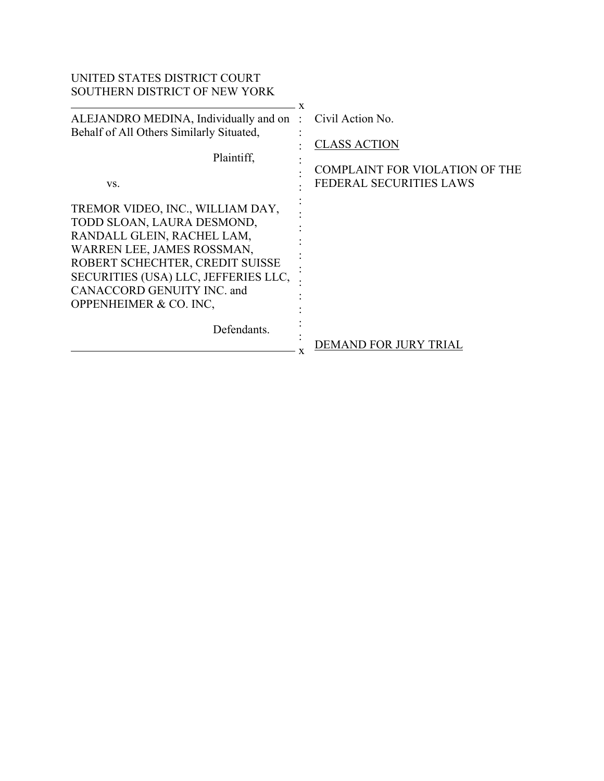| UNITED STATES DISTRICT COURT<br><b>SOUTHERN DISTRICT OF NEW YORK</b>                                                                                                                                                                                          |                                                                         |
|---------------------------------------------------------------------------------------------------------------------------------------------------------------------------------------------------------------------------------------------------------------|-------------------------------------------------------------------------|
|                                                                                                                                                                                                                                                               | x                                                                       |
| ALEJANDRO MEDINA, Individually and on:                                                                                                                                                                                                                        | Civil Action No.                                                        |
| Behalf of All Others Similarly Situated,                                                                                                                                                                                                                      | <b>CLASS ACTION</b>                                                     |
| Plaintiff,<br>VS.                                                                                                                                                                                                                                             | <b>COMPLAINT FOR VIOLATION OF THE</b><br><b>FEDERAL SECURITIES LAWS</b> |
| TREMOR VIDEO, INC., WILLIAM DAY,<br>TODD SLOAN, LAURA DESMOND,<br>RANDALL GLEIN, RACHEL LAM,<br>WARREN LEE, JAMES ROSSMAN,<br>ROBERT SCHECHTER, CREDIT SUISSE<br>SECURITIES (USA) LLC, JEFFERIES LLC,<br>CANACCORD GENUITY INC. and<br>OPPENHEIMER & CO. INC. |                                                                         |
| Defendants.                                                                                                                                                                                                                                                   | DEMAND FOR JURY TRIAL                                                   |
|                                                                                                                                                                                                                                                               |                                                                         |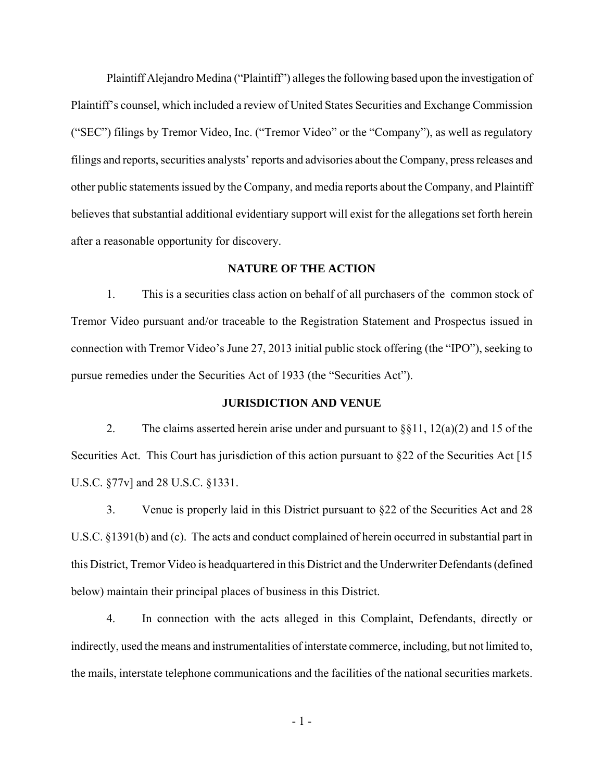Plaintiff Alejandro Medina ("Plaintiff") alleges the following based upon the investigation of Plaintiff's counsel, which included a review of United States Securities and Exchange Commission ("SEC") filings by Tremor Video, Inc. ("Tremor Video" or the "Company"), as well as regulatory filings and reports, securities analysts' reports and advisories about the Company, press releases and other public statements issued by the Company, and media reports about the Company, and Plaintiff believes that substantial additional evidentiary support will exist for the allegations set forth herein after a reasonable opportunity for discovery.

## **NATURE OF THE ACTION**

1. This is a securities class action on behalf of all purchasers of the common stock of Tremor Video pursuant and/or traceable to the Registration Statement and Prospectus issued in connection with Tremor Video's June 27, 2013 initial public stock offering (the "IPO"), seeking to pursue remedies under the Securities Act of 1933 (the "Securities Act").

### **JURISDICTION AND VENUE**

2. The claims asserted herein arise under and pursuant to  $\S$ [1, 12(a)(2) and 15 of the Securities Act. This Court has jurisdiction of this action pursuant to §22 of the Securities Act [15] U.S.C. §77v] and 28 U.S.C. §1331.

3. Venue is properly laid in this District pursuant to §22 of the Securities Act and 28 U.S.C. §1391(b) and (c). The acts and conduct complained of herein occurred in substantial part in this District, Tremor Video is headquartered in this District and the Underwriter Defendants (defined below) maintain their principal places of business in this District.

4. In connection with the acts alleged in this Complaint, Defendants, directly or indirectly, used the means and instrumentalities of interstate commerce, including, but not limited to, the mails, interstate telephone communications and the facilities of the national securities markets.

- 1 -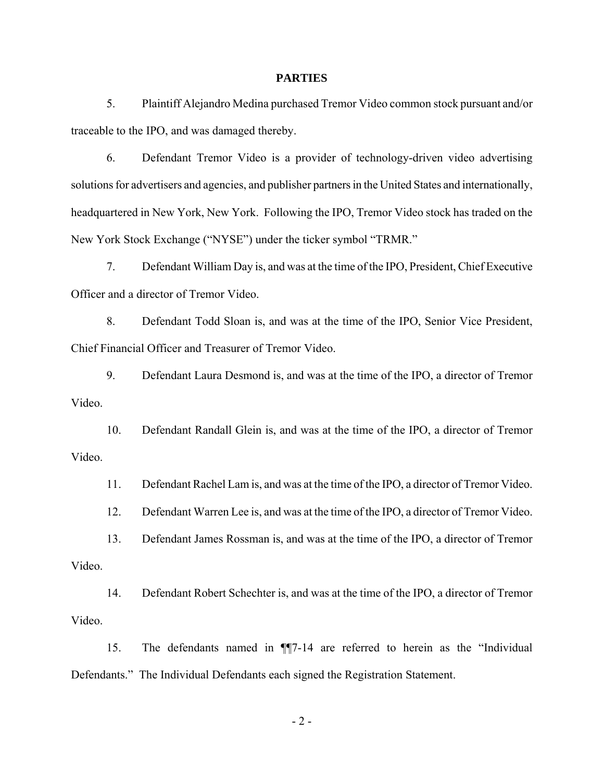### **PARTIES**

5. Plaintiff Alejandro Medina purchased Tremor Video common stock pursuant and/or traceable to the IPO, and was damaged thereby.

6. Defendant Tremor Video is a provider of technology-driven video advertising solutions for advertisers and agencies, and publisher partners in the United States and internationally, headquartered in New York, New York. Following the IPO, Tremor Video stock has traded on the New York Stock Exchange ("NYSE") under the ticker symbol "TRMR."

7. Defendant William Day is, and was at the time of the IPO, President, Chief Executive Officer and a director of Tremor Video.

8. Defendant Todd Sloan is, and was at the time of the IPO, Senior Vice President, Chief Financial Officer and Treasurer of Tremor Video.

9. Defendant Laura Desmond is, and was at the time of the IPO, a director of Tremor Video.

10. Defendant Randall Glein is, and was at the time of the IPO, a director of Tremor Video.

11. Defendant Rachel Lam is, and was at the time of the IPO, a director of Tremor Video.

12. Defendant Warren Lee is, and was at the time of the IPO, a director of Tremor Video.

13. Defendant James Rossman is, and was at the time of the IPO, a director of Tremor Video.

14. Defendant Robert Schechter is, and was at the time of the IPO, a director of Tremor Video.

15. The defendants named in ¶¶7-14 are referred to herein as the "Individual Defendants." The Individual Defendants each signed the Registration Statement.

 $-2 -$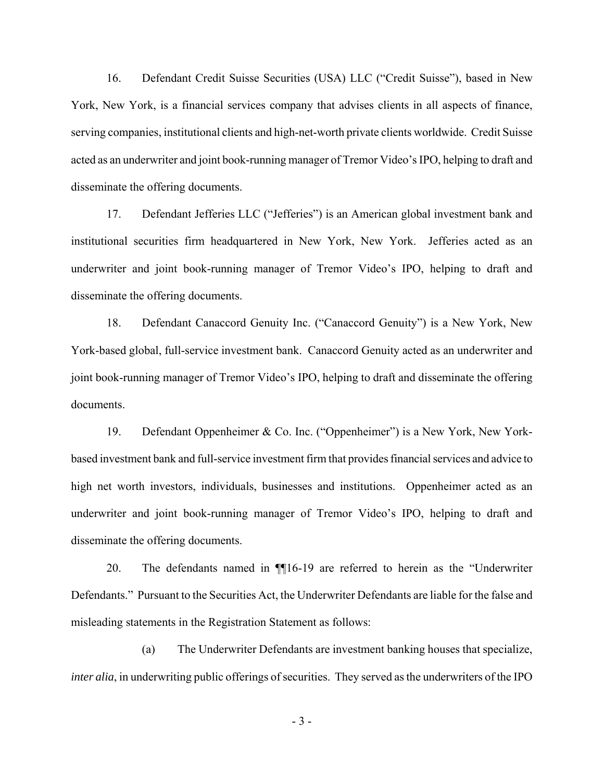16. Defendant Credit Suisse Securities (USA) LLC ("Credit Suisse"), based in New York, New York, is a financial services company that advises clients in all aspects of finance, serving companies, institutional clients and high-net-worth private clients worldwide. Credit Suisse acted as an underwriter and joint book-running manager of Tremor Video's IPO, helping to draft and disseminate the offering documents.

17. Defendant Jefferies LLC ("Jefferies") is an American global investment bank and institutional securities firm headquartered in New York, New York. Jefferies acted as an underwriter and joint book-running manager of Tremor Video's IPO, helping to draft and disseminate the offering documents.

18. Defendant Canaccord Genuity Inc. ("Canaccord Genuity") is a New York, New York-based global, full-service investment bank. Canaccord Genuity acted as an underwriter and joint book-running manager of Tremor Video's IPO, helping to draft and disseminate the offering documents.

19. Defendant Oppenheimer & Co. Inc. ("Oppenheimer") is a New York, New Yorkbased investment bank and full-service investment firm that provides financial services and advice to high net worth investors, individuals, businesses and institutions. Oppenheimer acted as an underwriter and joint book-running manager of Tremor Video's IPO, helping to draft and disseminate the offering documents.

20. The defendants named in ¶¶16-19 are referred to herein as the "Underwriter Defendants." Pursuant to the Securities Act, the Underwriter Defendants are liable for the false and misleading statements in the Registration Statement as follows:

(a) The Underwriter Defendants are investment banking houses that specialize, *inter alia*, in underwriting public offerings of securities. They served as the underwriters of the IPO

- 3 -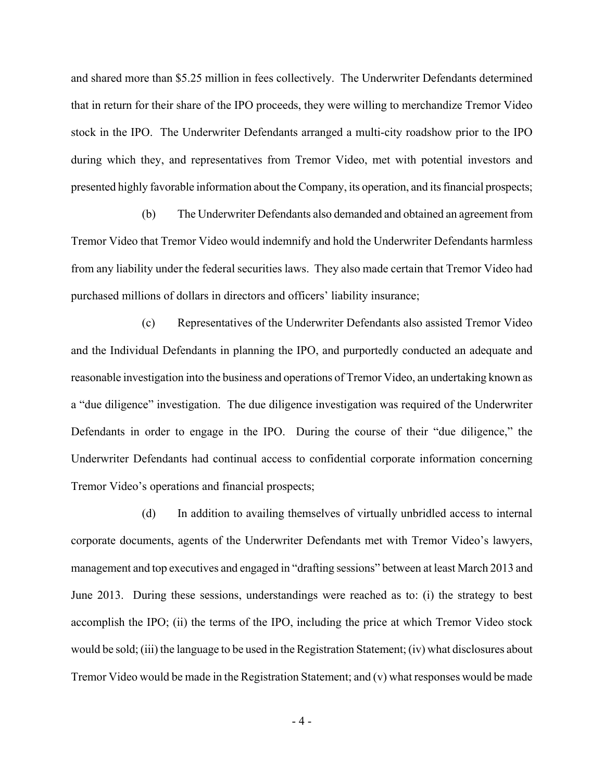and shared more than \$5.25 million in fees collectively. The Underwriter Defendants determined that in return for their share of the IPO proceeds, they were willing to merchandize Tremor Video stock in the IPO. The Underwriter Defendants arranged a multi-city roadshow prior to the IPO during which they, and representatives from Tremor Video, met with potential investors and presented highly favorable information about the Company, its operation, and its financial prospects;

(b) The Underwriter Defendants also demanded and obtained an agreement from Tremor Video that Tremor Video would indemnify and hold the Underwriter Defendants harmless from any liability under the federal securities laws. They also made certain that Tremor Video had purchased millions of dollars in directors and officers' liability insurance;

(c) Representatives of the Underwriter Defendants also assisted Tremor Video and the Individual Defendants in planning the IPO, and purportedly conducted an adequate and reasonable investigation into the business and operations of Tremor Video, an undertaking known as a "due diligence" investigation. The due diligence investigation was required of the Underwriter Defendants in order to engage in the IPO. During the course of their "due diligence," the Underwriter Defendants had continual access to confidential corporate information concerning Tremor Video's operations and financial prospects;

(d) In addition to availing themselves of virtually unbridled access to internal corporate documents, agents of the Underwriter Defendants met with Tremor Video's lawyers, management and top executives and engaged in "drafting sessions" between at least March 2013 and June 2013. During these sessions, understandings were reached as to: (i) the strategy to best accomplish the IPO; (ii) the terms of the IPO, including the price at which Tremor Video stock would be sold; (iii) the language to be used in the Registration Statement; (iv) what disclosures about Tremor Video would be made in the Registration Statement; and (v) what responses would be made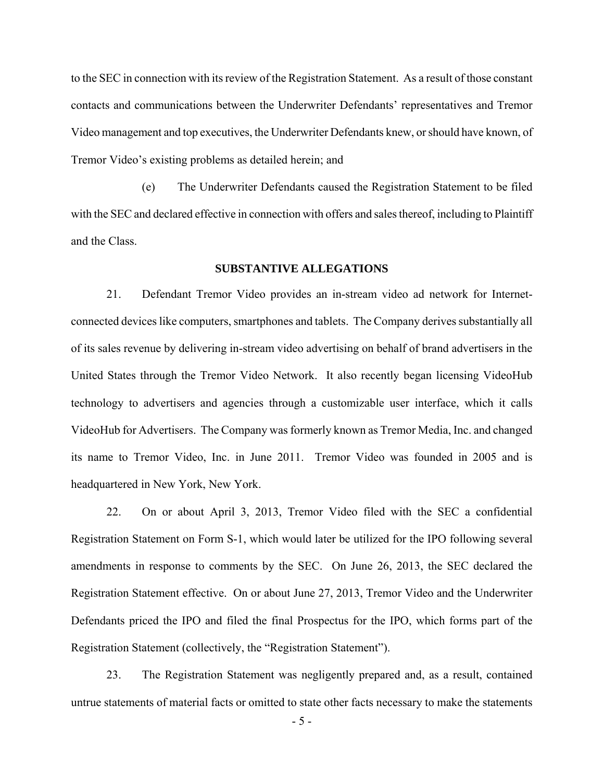to the SEC in connection with its review of the Registration Statement. As a result of those constant contacts and communications between the Underwriter Defendants' representatives and Tremor Video management and top executives, the Underwriter Defendants knew, or should have known, of Tremor Video's existing problems as detailed herein; and

(e) The Underwriter Defendants caused the Registration Statement to be filed with the SEC and declared effective in connection with offers and sales thereof, including to Plaintiff and the Class.

### **SUBSTANTIVE ALLEGATIONS**

21. Defendant Tremor Video provides an in-stream video ad network for Internetconnected devices like computers, smartphones and tablets. The Company derives substantially all of its sales revenue by delivering in-stream video advertising on behalf of brand advertisers in the United States through the Tremor Video Network. It also recently began licensing VideoHub technology to advertisers and agencies through a customizable user interface, which it calls VideoHub for Advertisers. The Company was formerly known as Tremor Media, Inc. and changed its name to Tremor Video, Inc. in June 2011. Tremor Video was founded in 2005 and is headquartered in New York, New York.

22. On or about April 3, 2013, Tremor Video filed with the SEC a confidential Registration Statement on Form S-1, which would later be utilized for the IPO following several amendments in response to comments by the SEC. On June 26, 2013, the SEC declared the Registration Statement effective. On or about June 27, 2013, Tremor Video and the Underwriter Defendants priced the IPO and filed the final Prospectus for the IPO, which forms part of the Registration Statement (collectively, the "Registration Statement").

23. The Registration Statement was negligently prepared and, as a result, contained untrue statements of material facts or omitted to state other facts necessary to make the statements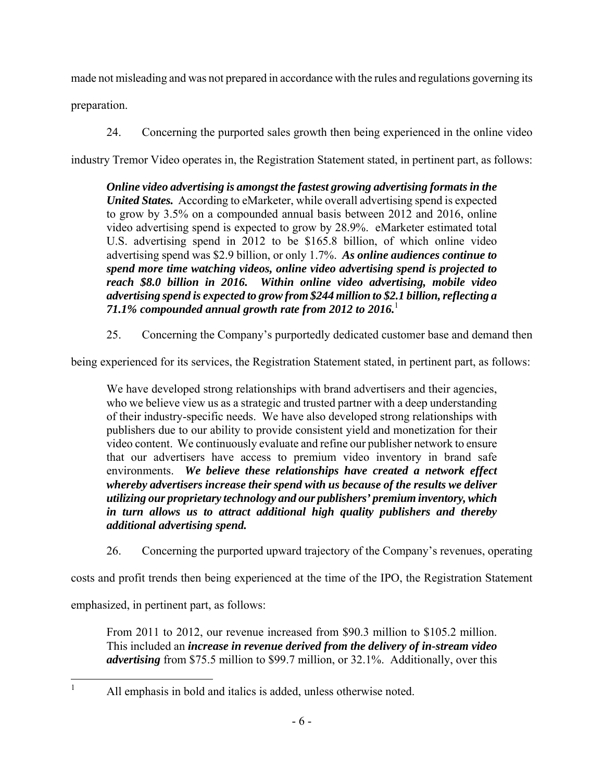made not misleading and was not prepared in accordance with the rules and regulations governing its

preparation.

24. Concerning the purported sales growth then being experienced in the online video

industry Tremor Video operates in, the Registration Statement stated, in pertinent part, as follows:

*Online video advertising is amongst the fastest growing advertising formats in the United States.* According to eMarketer, while overall advertising spend is expected to grow by 3.5% on a compounded annual basis between 2012 and 2016, online video advertising spend is expected to grow by 28.9%. eMarketer estimated total U.S. advertising spend in 2012 to be \$165.8 billion, of which online video advertising spend was \$2.9 billion, or only 1.7%. *As online audiences continue to spend more time watching videos, online video advertising spend is projected to reach \$8.0 billion in 2016. Within online video advertising, mobile video advertising spend is expected to grow from \$244 million to \$2.1 billion, reflecting a 71.1% compounded annual growth rate from 2012 to 2016.*<sup>1</sup>

25. Concerning the Company's purportedly dedicated customer base and demand then

being experienced for its services, the Registration Statement stated, in pertinent part, as follows:

We have developed strong relationships with brand advertisers and their agencies, who we believe view us as a strategic and trusted partner with a deep understanding of their industry-specific needs. We have also developed strong relationships with publishers due to our ability to provide consistent yield and monetization for their video content. We continuously evaluate and refine our publisher network to ensure that our advertisers have access to premium video inventory in brand safe environments. *We believe these relationships have created a network effect whereby advertisers increase their spend with us because of the results we deliver utilizing our proprietary technology and our publishers' premium inventory, which in turn allows us to attract additional high quality publishers and thereby additional advertising spend.*

26. Concerning the purported upward trajectory of the Company's revenues, operating

costs and profit trends then being experienced at the time of the IPO, the Registration Statement

emphasized, in pertinent part, as follows:

 $\frac{1}{1}$ 

From 2011 to 2012, our revenue increased from \$90.3 million to \$105.2 million. This included an *increase in revenue derived from the delivery of in-stream video advertising* from \$75.5 million to \$99.7 million, or 32.1%. Additionally, over this

All emphasis in bold and italics is added, unless otherwise noted.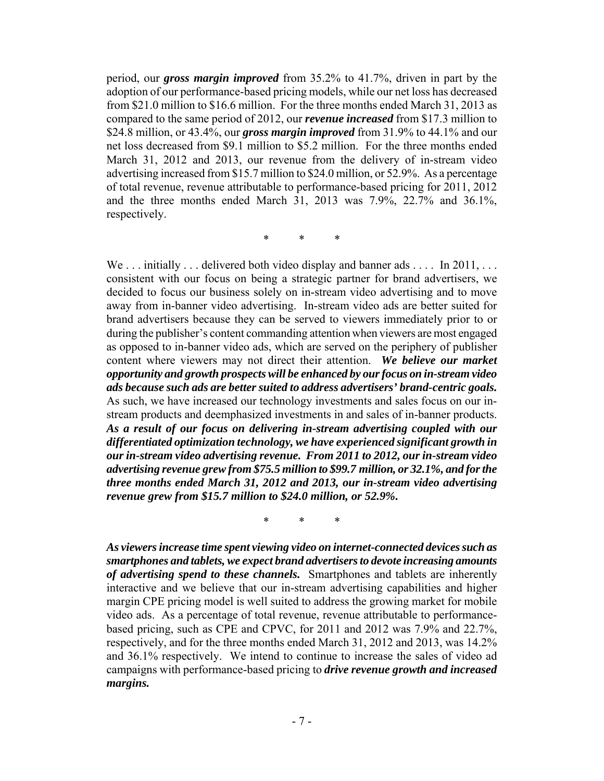period, our *gross margin improved* from 35.2% to 41.7%, driven in part by the adoption of our performance-based pricing models, while our net loss has decreased from \$21.0 million to \$16.6 million. For the three months ended March 31, 2013 as compared to the same period of 2012, our *revenue increased* from \$17.3 million to \$24.8 million, or 43.4%, our *gross margin improved* from 31.9% to 44.1% and our net loss decreased from \$9.1 million to \$5.2 million. For the three months ended March 31, 2012 and 2013, our revenue from the delivery of in-stream video advertising increased from \$15.7 million to \$24.0 million, or 52.9%. As a percentage of total revenue, revenue attributable to performance-based pricing for 2011, 2012 and the three months ended March 31, 2013 was 7.9%, 22.7% and 36.1%, respectively.

\* \* \*

We ... initially ... delivered both video display and banner ads ... In 2011, ... consistent with our focus on being a strategic partner for brand advertisers, we decided to focus our business solely on in-stream video advertising and to move away from in-banner video advertising. In-stream video ads are better suited for brand advertisers because they can be served to viewers immediately prior to or during the publisher's content commanding attention when viewers are most engaged as opposed to in-banner video ads, which are served on the periphery of publisher content where viewers may not direct their attention. *We believe our market opportunity and growth prospects will be enhanced by our focus on in-stream video ads because such ads are better suited to address advertisers' brand-centric goals.* As such, we have increased our technology investments and sales focus on our instream products and deemphasized investments in and sales of in-banner products. *As a result of our focus on delivering in-stream advertising coupled with our differentiated optimization technology, we have experienced significant growth in our in-stream video advertising revenue. From 2011 to 2012, our in-stream video advertising revenue grew from \$75.5 million to \$99.7 million, or 32.1%, and for the three months ended March 31, 2012 and 2013, our in-stream video advertising revenue grew from \$15.7 million to \$24.0 million, or 52.9%.*

\* \* \*

*As viewers increase time spent viewing video on internet-connected devices such as smartphones and tablets, we expect brand advertisers to devote increasing amounts of advertising spend to these channels.* Smartphones and tablets are inherently interactive and we believe that our in-stream advertising capabilities and higher margin CPE pricing model is well suited to address the growing market for mobile video ads. As a percentage of total revenue, revenue attributable to performancebased pricing, such as CPE and CPVC, for 2011 and 2012 was 7.9% and 22.7%, respectively, and for the three months ended March 31, 2012 and 2013, was 14.2% and 36.1% respectively. We intend to continue to increase the sales of video ad campaigns with performance-based pricing to *drive revenue growth and increased margins.*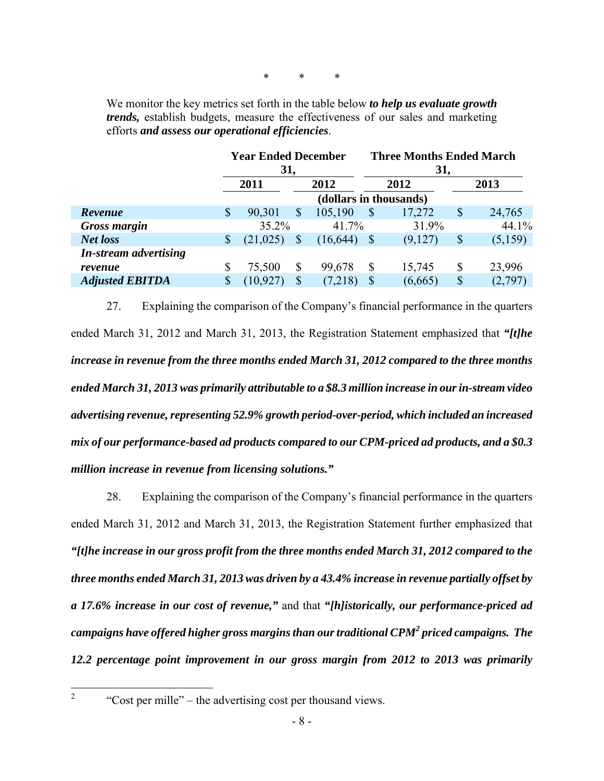\* \* \*

We monitor the key metrics set forth in the table below *to help us evaluate growth trends,* establish budgets, measure the effectiveness of our sales and marketing efforts *and assess our operational efficiencies*.

|                              |                        | <b>Year Ended December</b><br>31, |              |           |               | <b>Three Months Ended March</b><br>31, |      |         |  |  |
|------------------------------|------------------------|-----------------------------------|--------------|-----------|---------------|----------------------------------------|------|---------|--|--|
|                              | 2011                   |                                   | 2012         |           | 2012          |                                        | 2013 |         |  |  |
|                              | (dollars in thousands) |                                   |              |           |               |                                        |      |         |  |  |
| Revenue                      | \$                     | 90,301                            | $\mathbb{S}$ | 105,190   | $\mathcal{S}$ | 17,272                                 | S    | 24,765  |  |  |
| <b>Gross margin</b>          |                        | 35.2%                             |              | 41.7%     |               | 31.9%                                  |      | 44.1%   |  |  |
| <b>Net loss</b>              | $\mathbb{S}$           | (21, 025)                         | S            | (16, 644) |               | (9,127)                                | \$   | (5,159) |  |  |
| <b>In-stream advertising</b> |                        |                                   |              |           |               |                                        |      |         |  |  |
| revenue                      | S                      | 75,500                            | \$           | 99,678    | $\mathbb{S}$  | 15,745                                 | \$   | 23,996  |  |  |
| <b>Adjusted EBITDA</b>       | \$                     | (10, 927)                         | $\mathbb{S}$ | (7,218)   | \$            | (6,665)                                | \$   | (2,797) |  |  |
|                              |                        |                                   |              |           |               |                                        |      |         |  |  |

27. Explaining the comparison of the Company's financial performance in the quarters ended March 31, 2012 and March 31, 2013, the Registration Statement emphasized that *"[t]he increase in revenue from the three months ended March 31, 2012 compared to the three months ended March 31, 2013 was primarily attributable to a \$8.3 million increase in our in-stream video advertising revenue, representing 52.9% growth period-over-period, which included an increased mix of our performance-based ad products compared to our CPM-priced ad products, and a \$0.3 million increase in revenue from licensing solutions."*

28. Explaining the comparison of the Company's financial performance in the quarters ended March 31, 2012 and March 31, 2013, the Registration Statement further emphasized that *"[t]he increase in our gross profit from the three months ended March 31, 2012 compared to the three months ended March 31, 2013 was driven by a 43.4% increase in revenue partially offset by a 17.6% increase in our cost of revenue,"* and that *"[h]istorically, our performance-priced ad campaigns have offered higher gross margins than our traditional CPM2 priced campaigns. The 12.2 percentage point improvement in our gross margin from 2012 to 2013 was primarily* 

 $\frac{1}{2}$ 

 <sup>&</sup>quot;Cost per mille" – the advertising cost per thousand views.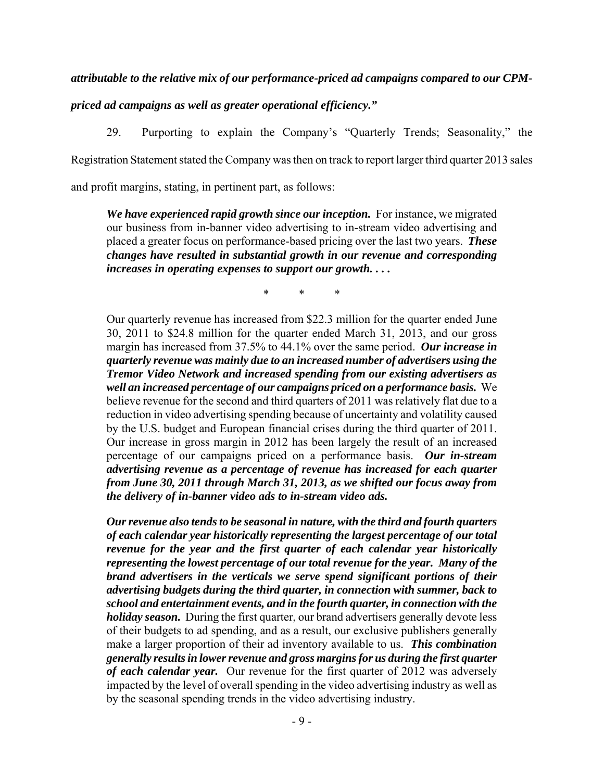*attributable to the relative mix of our performance-priced ad campaigns compared to our CPM-*

*priced ad campaigns as well as greater operational efficiency."*

29. Purporting to explain the Company's "Quarterly Trends; Seasonality," the Registration Statement stated the Company was then on track to report larger third quarter 2013 sales and profit margins, stating, in pertinent part, as follows:

*We have experienced rapid growth since our inception.* For instance, we migrated our business from in-banner video advertising to in-stream video advertising and placed a greater focus on performance-based pricing over the last two years. *These changes have resulted in substantial growth in our revenue and corresponding increases in operating expenses to support our growth. . . .* 

\* \* \*

Our quarterly revenue has increased from \$22.3 million for the quarter ended June 30, 2011 to \$24.8 million for the quarter ended March 31, 2013, and our gross margin has increased from 37.5% to 44.1% over the same period. *Our increase in quarterly revenue was mainly due to an increased number of advertisers using the Tremor Video Network and increased spending from our existing advertisers as well an increased percentage of our campaigns priced on a performance basis.* We believe revenue for the second and third quarters of 2011 was relatively flat due to a reduction in video advertising spending because of uncertainty and volatility caused by the U.S. budget and European financial crises during the third quarter of 2011. Our increase in gross margin in 2012 has been largely the result of an increased percentage of our campaigns priced on a performance basis. *Our in-stream advertising revenue as a percentage of revenue has increased for each quarter from June 30, 2011 through March 31, 2013, as we shifted our focus away from the delivery of in-banner video ads to in-stream video ads.*

*Our revenue also tends to be seasonal in nature, with the third and fourth quarters of each calendar year historically representing the largest percentage of our total revenue for the year and the first quarter of each calendar year historically representing the lowest percentage of our total revenue for the year. Many of the brand advertisers in the verticals we serve spend significant portions of their advertising budgets during the third quarter, in connection with summer, back to school and entertainment events, and in the fourth quarter, in connection with the holiday season.* During the first quarter, our brand advertisers generally devote less of their budgets to ad spending, and as a result, our exclusive publishers generally make a larger proportion of their ad inventory available to us. *This combination generally results in lower revenue and gross margins for us during the first quarter of each calendar year.* Our revenue for the first quarter of 2012 was adversely impacted by the level of overall spending in the video advertising industry as well as by the seasonal spending trends in the video advertising industry.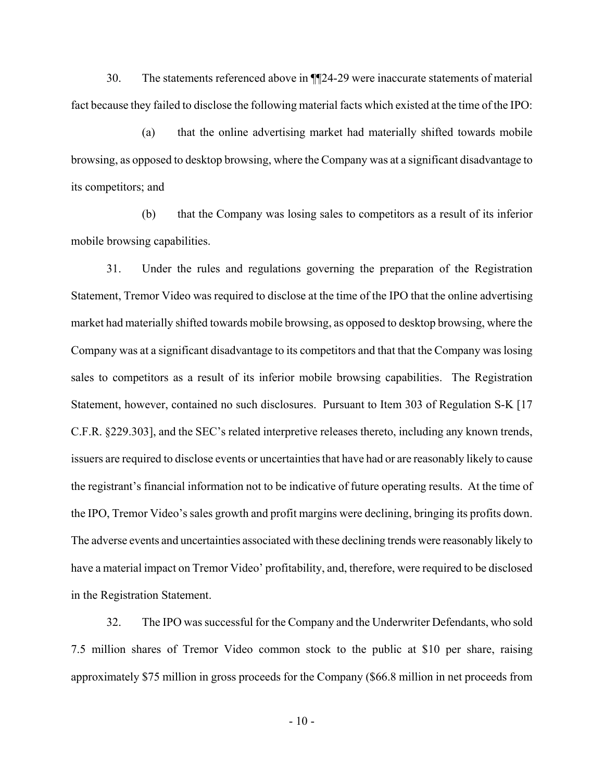30. The statements referenced above in ¶¶24-29 were inaccurate statements of material fact because they failed to disclose the following material facts which existed at the time of the IPO:

(a) that the online advertising market had materially shifted towards mobile browsing, as opposed to desktop browsing, where the Company was at a significant disadvantage to its competitors; and

(b) that the Company was losing sales to competitors as a result of its inferior mobile browsing capabilities.

31. Under the rules and regulations governing the preparation of the Registration Statement, Tremor Video was required to disclose at the time of the IPO that the online advertising market had materially shifted towards mobile browsing, as opposed to desktop browsing, where the Company was at a significant disadvantage to its competitors and that that the Company was losing sales to competitors as a result of its inferior mobile browsing capabilities. The Registration Statement, however, contained no such disclosures. Pursuant to Item 303 of Regulation S-K [17 C.F.R. §229.303], and the SEC's related interpretive releases thereto, including any known trends, issuers are required to disclose events or uncertainties that have had or are reasonably likely to cause the registrant's financial information not to be indicative of future operating results. At the time of the IPO, Tremor Video's sales growth and profit margins were declining, bringing its profits down. The adverse events and uncertainties associated with these declining trends were reasonably likely to have a material impact on Tremor Video' profitability, and, therefore, were required to be disclosed in the Registration Statement.

32. The IPO was successful for the Company and the Underwriter Defendants, who sold 7.5 million shares of Tremor Video common stock to the public at \$10 per share, raising approximately \$75 million in gross proceeds for the Company (\$66.8 million in net proceeds from

 $-10-$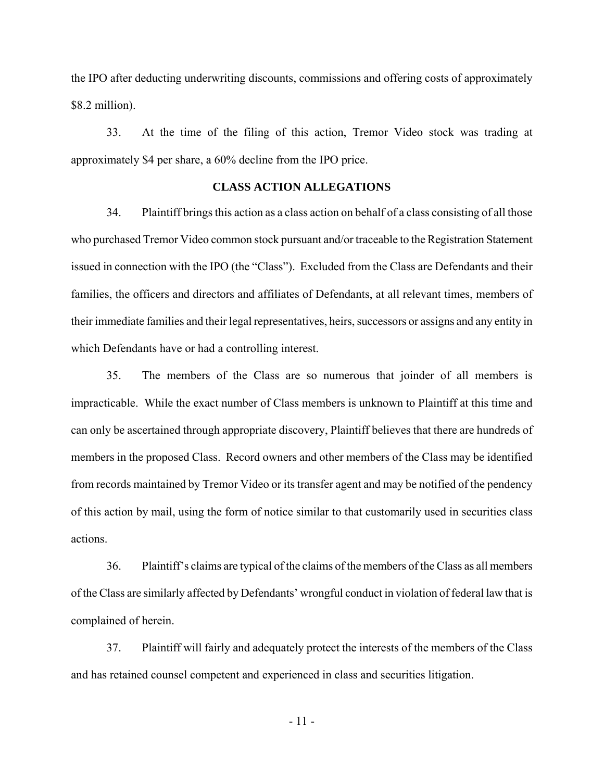the IPO after deducting underwriting discounts, commissions and offering costs of approximately \$8.2 million).

33. At the time of the filing of this action, Tremor Video stock was trading at approximately \$4 per share, a 60% decline from the IPO price.

## **CLASS ACTION ALLEGATIONS**

34. Plaintiff brings this action as a class action on behalf of a class consisting of all those who purchased Tremor Video common stock pursuant and/or traceable to the Registration Statement issued in connection with the IPO (the "Class"). Excluded from the Class are Defendants and their families, the officers and directors and affiliates of Defendants, at all relevant times, members of their immediate families and their legal representatives, heirs, successors or assigns and any entity in which Defendants have or had a controlling interest.

35. The members of the Class are so numerous that joinder of all members is impracticable. While the exact number of Class members is unknown to Plaintiff at this time and can only be ascertained through appropriate discovery, Plaintiff believes that there are hundreds of members in the proposed Class. Record owners and other members of the Class may be identified from records maintained by Tremor Video or its transfer agent and may be notified of the pendency of this action by mail, using the form of notice similar to that customarily used in securities class actions.

36. Plaintiff's claims are typical of the claims of the members of the Class as all members of the Class are similarly affected by Defendants' wrongful conduct in violation of federal law that is complained of herein.

37. Plaintiff will fairly and adequately protect the interests of the members of the Class and has retained counsel competent and experienced in class and securities litigation.

- 11 -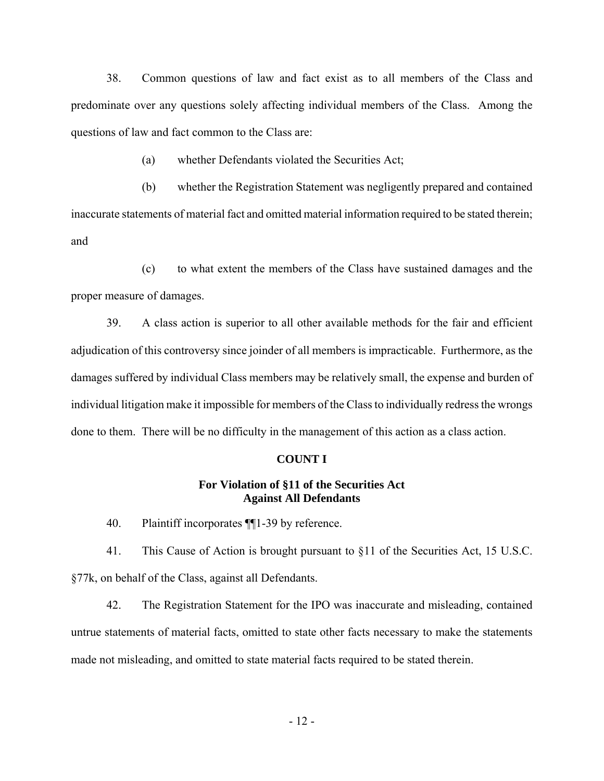38. Common questions of law and fact exist as to all members of the Class and predominate over any questions solely affecting individual members of the Class. Among the questions of law and fact common to the Class are:

(a) whether Defendants violated the Securities Act;

(b) whether the Registration Statement was negligently prepared and contained inaccurate statements of material fact and omitted material information required to be stated therein; and

(c) to what extent the members of the Class have sustained damages and the proper measure of damages.

39. A class action is superior to all other available methods for the fair and efficient adjudication of this controversy since joinder of all members is impracticable. Furthermore, as the damages suffered by individual Class members may be relatively small, the expense and burden of individual litigation make it impossible for members of the Class to individually redress the wrongs done to them. There will be no difficulty in the management of this action as a class action.

#### **COUNT I**

## **For Violation of §11 of the Securities Act Against All Defendants**

40. Plaintiff incorporates ¶¶1-39 by reference.

41. This Cause of Action is brought pursuant to §11 of the Securities Act, 15 U.S.C. §77k, on behalf of the Class, against all Defendants.

42. The Registration Statement for the IPO was inaccurate and misleading, contained untrue statements of material facts, omitted to state other facts necessary to make the statements made not misleading, and omitted to state material facts required to be stated therein.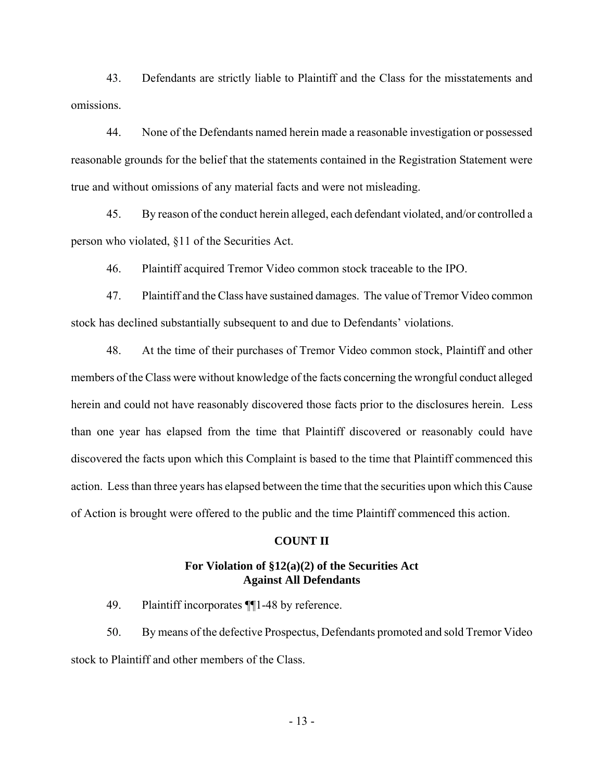43. Defendants are strictly liable to Plaintiff and the Class for the misstatements and omissions.

44. None of the Defendants named herein made a reasonable investigation or possessed reasonable grounds for the belief that the statements contained in the Registration Statement were true and without omissions of any material facts and were not misleading.

45. By reason of the conduct herein alleged, each defendant violated, and/or controlled a person who violated, §11 of the Securities Act.

46. Plaintiff acquired Tremor Video common stock traceable to the IPO.

47. Plaintiff and the Class have sustained damages. The value of Tremor Video common stock has declined substantially subsequent to and due to Defendants' violations.

48. At the time of their purchases of Tremor Video common stock, Plaintiff and other members of the Class were without knowledge of the facts concerning the wrongful conduct alleged herein and could not have reasonably discovered those facts prior to the disclosures herein. Less than one year has elapsed from the time that Plaintiff discovered or reasonably could have discovered the facts upon which this Complaint is based to the time that Plaintiff commenced this action. Less than three years has elapsed between the time that the securities upon which this Cause of Action is brought were offered to the public and the time Plaintiff commenced this action.

#### **COUNT II**

## **For Violation of §12(a)(2) of the Securities Act Against All Defendants**

49. Plaintiff incorporates ¶¶1-48 by reference.

50. By means of the defective Prospectus, Defendants promoted and sold Tremor Video stock to Plaintiff and other members of the Class.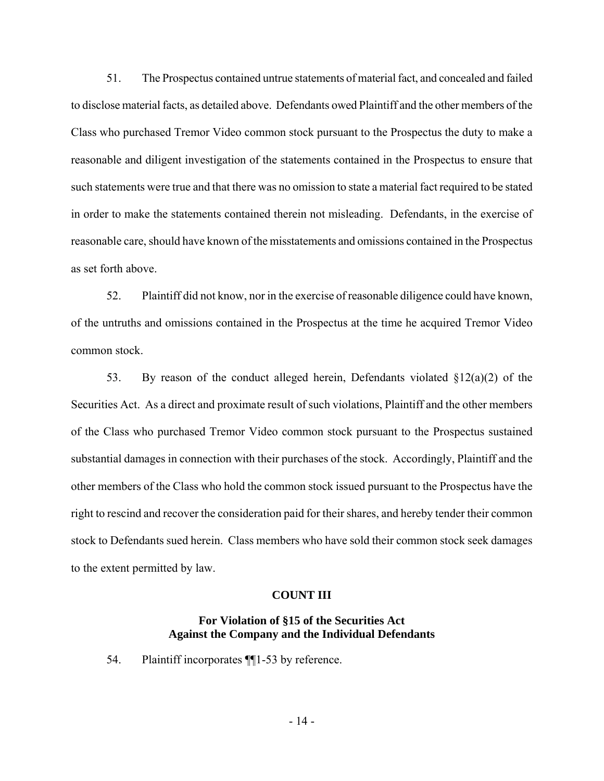51. The Prospectus contained untrue statements of material fact, and concealed and failed to disclose material facts, as detailed above. Defendants owed Plaintiff and the other members of the Class who purchased Tremor Video common stock pursuant to the Prospectus the duty to make a reasonable and diligent investigation of the statements contained in the Prospectus to ensure that such statements were true and that there was no omission to state a material fact required to be stated in order to make the statements contained therein not misleading. Defendants, in the exercise of reasonable care, should have known of the misstatements and omissions contained in the Prospectus as set forth above.

52. Plaintiff did not know, nor in the exercise of reasonable diligence could have known, of the untruths and omissions contained in the Prospectus at the time he acquired Tremor Video common stock.

53. By reason of the conduct alleged herein, Defendants violated  $\S 12(a)(2)$  of the Securities Act. As a direct and proximate result of such violations, Plaintiff and the other members of the Class who purchased Tremor Video common stock pursuant to the Prospectus sustained substantial damages in connection with their purchases of the stock. Accordingly, Plaintiff and the other members of the Class who hold the common stock issued pursuant to the Prospectus have the right to rescind and recover the consideration paid for their shares, and hereby tender their common stock to Defendants sued herein. Class members who have sold their common stock seek damages to the extent permitted by law.

## **COUNT III**

## **For Violation of §15 of the Securities Act Against the Company and the Individual Defendants**

54. Plaintiff incorporates ¶¶1-53 by reference.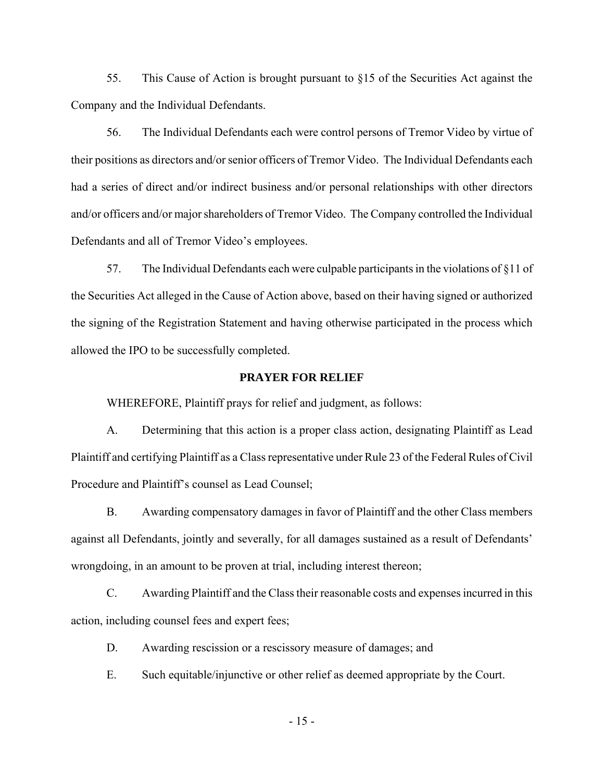55. This Cause of Action is brought pursuant to §15 of the Securities Act against the Company and the Individual Defendants.

56. The Individual Defendants each were control persons of Tremor Video by virtue of their positions as directors and/or senior officers of Tremor Video. The Individual Defendants each had a series of direct and/or indirect business and/or personal relationships with other directors and/or officers and/or major shareholders of Tremor Video. The Company controlled the Individual Defendants and all of Tremor Video's employees.

57. The Individual Defendants each were culpable participants in the violations of §11 of the Securities Act alleged in the Cause of Action above, based on their having signed or authorized the signing of the Registration Statement and having otherwise participated in the process which allowed the IPO to be successfully completed.

### **PRAYER FOR RELIEF**

WHEREFORE, Plaintiff prays for relief and judgment, as follows:

A. Determining that this action is a proper class action, designating Plaintiff as Lead Plaintiff and certifying Plaintiff as a Class representative under Rule 23 of the Federal Rules of Civil Procedure and Plaintiff's counsel as Lead Counsel;

B. Awarding compensatory damages in favor of Plaintiff and the other Class members against all Defendants, jointly and severally, for all damages sustained as a result of Defendants' wrongdoing, in an amount to be proven at trial, including interest thereon;

C. Awarding Plaintiff and the Class their reasonable costs and expenses incurred in this action, including counsel fees and expert fees;

D. Awarding rescission or a rescissory measure of damages; and

E. Such equitable/injunctive or other relief as deemed appropriate by the Court.

- 15 -